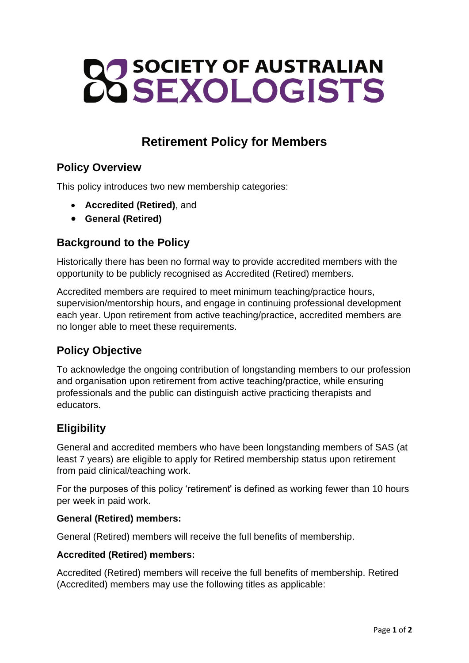# **22 SOCIETY OF AUSTRALIAN**

# **Retirement Policy for Members**

# **Policy Overview**

This policy introduces two new membership categories:

- **Accredited (Retired)**, and
- **General (Retired)**

# **Background to the Policy**

Historically there has been no formal way to provide accredited members with the opportunity to be publicly recognised as Accredited (Retired) members.

Accredited members are required to meet minimum teaching/practice hours, supervision/mentorship hours, and engage in continuing professional development each year. Upon retirement from active teaching/practice, accredited members are no longer able to meet these requirements.

# **Policy Objective**

To acknowledge the ongoing contribution of longstanding members to our profession and organisation upon retirement from active teaching/practice, while ensuring professionals and the public can distinguish active practicing therapists and educators.

# **Eligibility**

General and accredited members who have been longstanding members of SAS (at least 7 years) are eligible to apply for Retired membership status upon retirement from paid clinical/teaching work.

For the purposes of this policy 'retirement' is defined as working fewer than 10 hours per week in paid work.

### **General (Retired) members:**

General (Retired) members will receive the full benefits of membership.

### **Accredited (Retired) members:**

Accredited (Retired) members will receive the full benefits of membership. Retired (Accredited) members may use the following titles as applicable: